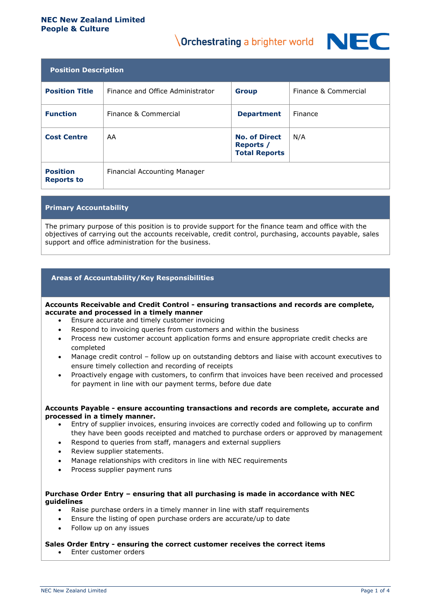#### **NEC New Zealand Limited People & Culture**

# **Orchestrating a brighter world**



| <b>Position Description</b>          |                                  |                                                           |                      |  |  |
|--------------------------------------|----------------------------------|-----------------------------------------------------------|----------------------|--|--|
| <b>Position Title</b>                | Finance and Office Administrator | <b>Group</b>                                              | Finance & Commercial |  |  |
| <b>Function</b>                      | Finance & Commercial             | <b>Department</b>                                         | Finance              |  |  |
| <b>Cost Centre</b>                   | AA                               | <b>No. of Direct</b><br>Reports /<br><b>Total Reports</b> | N/A                  |  |  |
| <b>Position</b><br><b>Reports to</b> | Financial Accounting Manager     |                                                           |                      |  |  |

# **Primary Accountability**

The primary purpose of this position is to provide support for the finance team and office with the objectives of carrying out the accounts receivable, credit control, purchasing, accounts payable, sales support and office administration for the business.

# **Areas of Accountability/Key Responsibilities**

**Accounts Receivable and Credit Control - ensuring transactions and records are complete, accurate and processed in a timely manner**

- Ensure accurate and timely customer invoicing
- Respond to invoicing queries from customers and within the business
- Process new customer account application forms and ensure appropriate credit checks are completed
- Manage credit control follow up on outstanding debtors and liaise with account executives to ensure timely collection and recording of receipts
- Proactively engage with customers, to confirm that invoices have been received and processed for payment in line with our payment terms, before due date

#### **Accounts Payable - ensure accounting transactions and records are complete, accurate and processed in a timely manner.**

- Entry of supplier invoices, ensuring invoices are correctly coded and following up to confirm they have been goods receipted and matched to purchase orders or approved by management
- Respond to queries from staff, managers and external suppliers
- Review supplier statements.
- Manage relationships with creditors in line with NEC requirements
- Process supplier payment runs

#### **Purchase Order Entry – ensuring that all purchasing is made in accordance with NEC guidelines**

- Raise purchase orders in a timely manner in line with staff requirements
- Ensure the listing of open purchase orders are accurate/up to date
- Follow up on any issues

#### **Sales Order Entry - ensuring the correct customer receives the correct items**

• Enter customer orders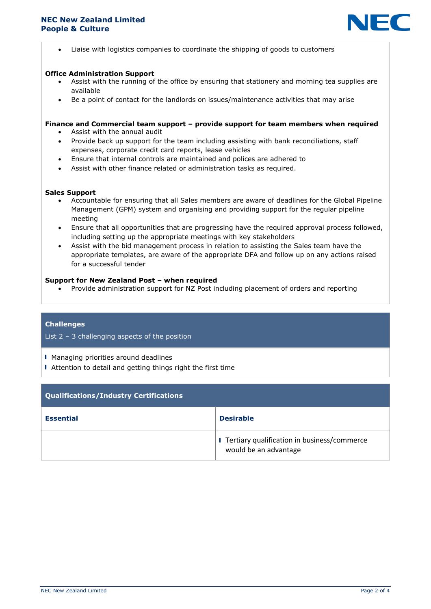

• Liaise with logistics companies to coordinate the shipping of goods to customers

#### **Office Administration Support**

- Assist with the running of the office by ensuring that stationery and morning tea supplies are available
- Be a point of contact for the landlords on issues/maintenance activities that may arise

#### **Finance and Commercial team support – provide support for team members when required**

- Assist with the annual audit
- Provide back up support for the team including assisting with bank reconciliations, staff expenses, corporate credit card reports, lease vehicles
- Ensure that internal controls are maintained and polices are adhered to
- Assist with other finance related or administration tasks as required.

#### **Sales Support**

- Accountable for ensuring that all Sales members are aware of deadlines for the Global Pipeline Management (GPM) system and organising and providing support for the regular pipeline meeting
- Ensure that all opportunities that are progressing have the required approval process followed, including setting up the appropriate meetings with key stakeholders
- Assist with the bid management process in relation to assisting the Sales team have the appropriate templates, are aware of the appropriate DFA and follow up on any actions raised for a successful tender

#### **Support for New Zealand Post – when required**

• Provide administration support for NZ Post including placement of orders and reporting

#### **Challenges**

# List  $2 - 3$  challenging aspects of the position

- ▌ Managing priorities around deadlines
- Attention to detail and getting things right the first time

| Qualifications/Industry Certifications |                                                                        |  |  |
|----------------------------------------|------------------------------------------------------------------------|--|--|
| <b>Essential</b>                       | <b>Desirable</b>                                                       |  |  |
|                                        | I Tertiary qualification in business/commerce<br>would be an advantage |  |  |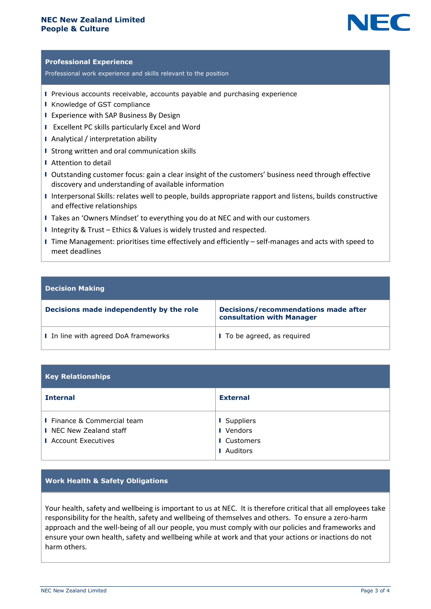# **NEC New Zealand Limited People & Culture**



# **Professional Experience**

Professional work experience and skills relevant to the position

- ▌ Previous accounts receivable, accounts payable and purchasing experience
- ▌ Knowledge of GST compliance
- ▌ Experience with SAP Business By Design
- ▌ Excellent PC skills particularly Excel and Word
- ▌ Analytical / interpretation ability
- ▌ Strong written and oral communication skills
- Attention to detail
- ▌ Outstanding customer focus: gain a clear insight of the customers' business need through effective discovery and understanding of available information
- ▌ Interpersonal Skills: relates well to people, builds appropriate rapport and listens, builds constructive and effective relationships
- ▌ Takes an 'Owners Mindset' to everything you do at NEC and with our customers
- ▌ Integrity & Trust Ethics & Values is widely trusted and respected.
- ▌ Time Management: prioritises time effectively and efficiently self-manages and acts with speed to meet deadlines

#### **Decision Making**

| Decisions made independently by the role | <b>Decisions/recommendations made after</b><br>consultation with Manager |
|------------------------------------------|--------------------------------------------------------------------------|
| I In line with agreed DoA frameworks     | I To be agreed, as required                                              |

| <b>Key Relationships</b>                                                              |                                                            |  |  |
|---------------------------------------------------------------------------------------|------------------------------------------------------------|--|--|
| <b>Internal</b>                                                                       | <b>External</b>                                            |  |  |
| I Finance & Commercial team<br>I NEC New Zealand staff<br><b>I</b> Account Executives | I Suppliers<br>I Vendors<br><b>I</b> Customers<br>Auditors |  |  |

# **Work Health & Safety Obligations**

Your health, safety and wellbeing is important to us at NEC. It is therefore critical that all employees take responsibility for the health, safety and wellbeing of themselves and others. To ensure a zero-harm approach and the well-being of all our people, you must comply with our policies and frameworks and ensure your own health, safety and wellbeing while at work and that your actions or inactions do not harm others.